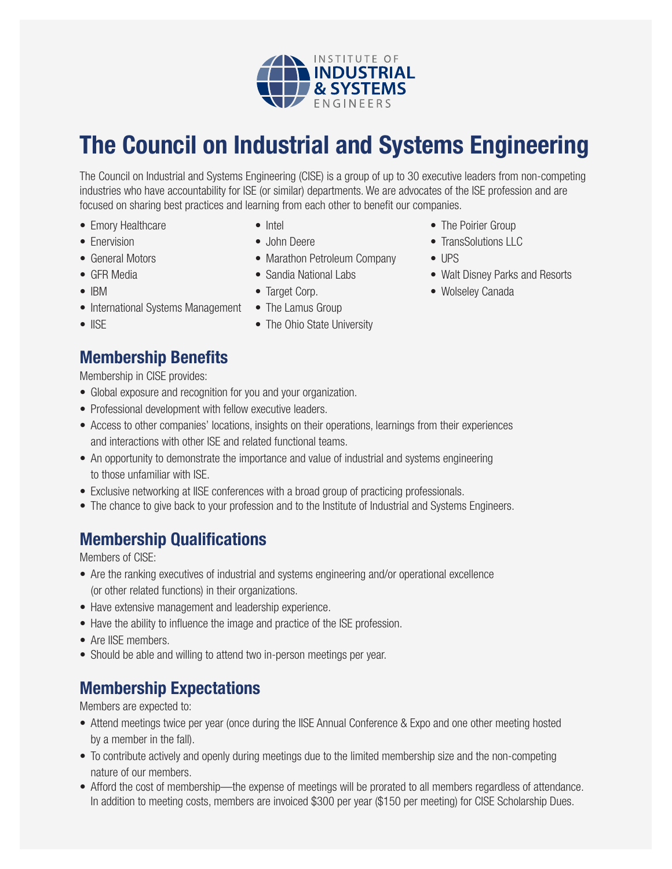

## **The Council on Industrial and Systems Engineering**

The Council on Industrial and Systems Engineering (CISE) is a group of up to 30 executive leaders from non-competing industries who have accountability for ISE (or similar) departments. We are advocates of the ISE profession and are focused on sharing best practices and learning from each other to benefit our companies.

- Emory Healthcare
- Enervision
- General Motors
- GFR Media
- IBM
- International Systems Management The Lamus Group
- IISE
- Intel
- John Deere
- Marathon Petroleum Company
- Sandia National Labs
- Target Corp.
- 
- The Ohio State University
- The Poirier Group
- TransSolutions LLC
- UPS
- Walt Disney Parks and Resorts
- Wolseley Canada

## **Membership Benefits**

Membership in CISE provides:

- Global exposure and recognition for you and your organization.
- Professional development with fellow executive leaders.
- Access to other companies' locations, insights on their operations, learnings from their experiences and interactions with other ISE and related functional teams.
- An opportunity to demonstrate the importance and value of industrial and systems engineering to those unfamiliar with ISE.
- Exclusive networking at IISE conferences with a broad group of practicing professionals.
- The chance to give back to your profession and to the Institute of Industrial and Systems Engineers.

## **Membership Qualifications**

Members of CISE:

- Are the ranking executives of industrial and systems engineering and/or operational excellence (or other related functions) in their organizations.
- Have extensive management and leadership experience.
- Have the ability to influence the image and practice of the ISE profession.
- Are IISE members.
- Should be able and willing to attend two in-person meetings per year.

## **Membership Expectations**

Members are expected to:

- Attend meetings twice per year (once during the IISE Annual Conference & Expo and one other meeting hosted by a member in the fall).
- To contribute actively and openly during meetings due to the limited membership size and the non-competing nature of our members.
- Afford the cost of membership—the expense of meetings will be prorated to all members regardless of attendance. In addition to meeting costs, members are invoiced \$300 per year (\$150 per meeting) for CISE Scholarship Dues.